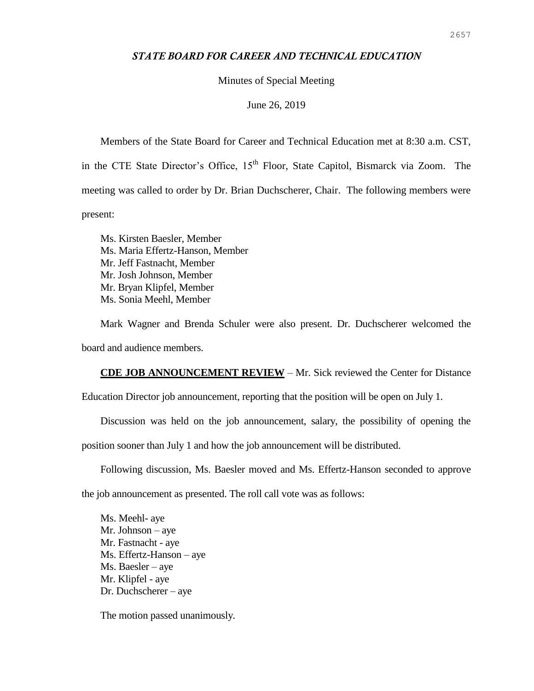## *STATE BOARD FOR CAREER AND TECHNICAL EDUCATION*

Minutes of Special Meeting

June 26, 2019

Members of the State Board for Career and Technical Education met at 8:30 a.m. CST, in the CTE State Director's Office, 15<sup>th</sup> Floor, State Capitol, Bismarck via Zoom. The meeting was called to order by Dr. Brian Duchscherer, Chair. The following members were present:

Ms. Kirsten Baesler, Member Ms. Maria Effertz-Hanson, Member Mr. Jeff Fastnacht, Member Mr. Josh Johnson, Member Mr. Bryan Klipfel, Member Ms. Sonia Meehl, Member

Mark Wagner and Brenda Schuler were also present. Dr. Duchscherer welcomed the board and audience members.

**CDE JOB ANNOUNCEMENT REVIEW** – Mr. Sick reviewed the Center for Distance

Education Director job announcement, reporting that the position will be open on July 1.

Discussion was held on the job announcement, salary, the possibility of opening the

position sooner than July 1 and how the job announcement will be distributed.

Following discussion, Ms. Baesler moved and Ms. Effertz-Hanson seconded to approve

the job announcement as presented. The roll call vote was as follows:

Ms. Meehl- aye Mr. Johnson – aye Mr. Fastnacht - aye Ms. Effertz-Hanson – aye Ms. Baesler – aye Mr. Klipfel - aye Dr. Duchscherer – aye

The motion passed unanimously.